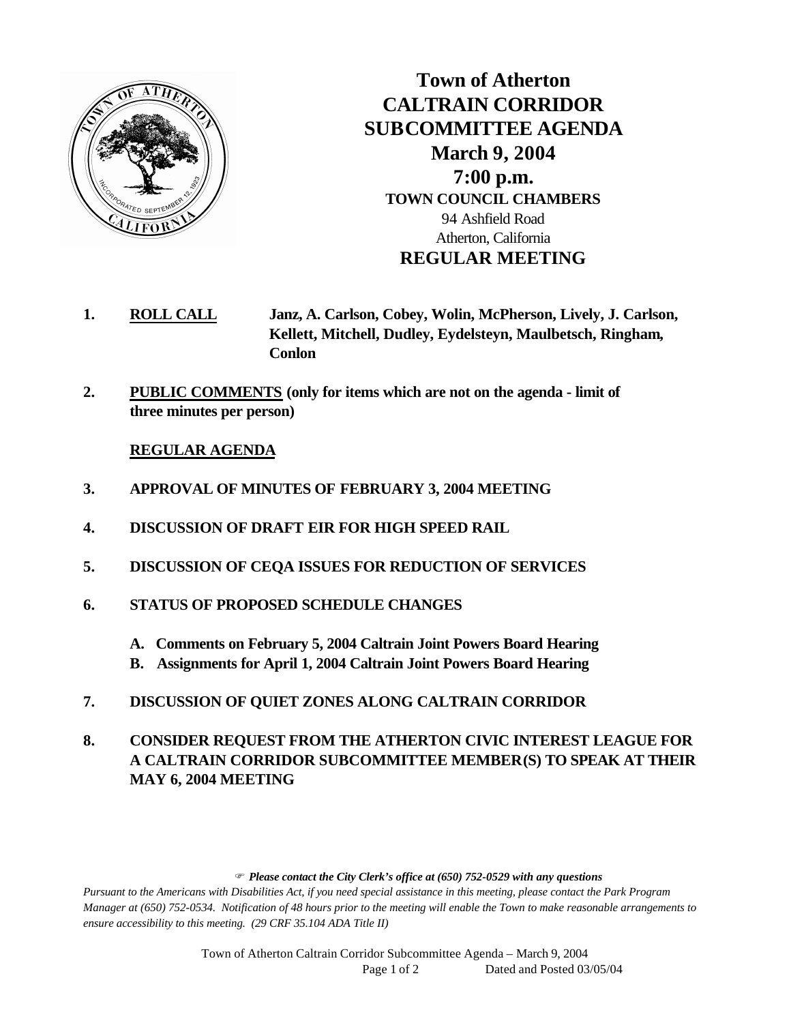

**Town of Atherton CALTRAIN CORRIDOR SUBCOMMITTEE AGENDA March 9, 2004 7:00 p.m. TOWN COUNCIL CHAMBERS** 94 Ashfield Road Atherton, California **REGULAR MEETING**

- **1. ROLL CALL Janz, A. Carlson, Cobey, Wolin, McPherson, Lively, J. Carlson, Kellett, Mitchell, Dudley, Eydelsteyn, Maulbetsch, Ringham, Conlon**
- **2. PUBLIC COMMENTS (only for items which are not on the agenda limit of three minutes per person)**

## **REGULAR AGENDA**

- **3. APPROVAL OF MINUTES OF FEBRUARY 3, 2004 MEETING**
- **4. DISCUSSION OF DRAFT EIR FOR HIGH SPEED RAIL**
- **5. DISCUSSION OF CEQA ISSUES FOR REDUCTION OF SERVICES**
- **6. STATUS OF PROPOSED SCHEDULE CHANGES**
	- **A. Comments on February 5, 2004 Caltrain Joint Powers Board Hearing**
	- **B. Assignments for April 1, 2004 Caltrain Joint Powers Board Hearing**
- **7. DISCUSSION OF QUIET ZONES ALONG CALTRAIN CORRIDOR**
- **8. CONSIDER REQUEST FROM THE ATHERTON CIVIC INTEREST LEAGUE FOR A CALTRAIN CORRIDOR SUBCOMMITTEE MEMBER(S) TO SPEAK AT THEIR MAY 6, 2004 MEETING**

F *Please contact the City Clerk's office at (650) 752-0529 with any questions*

*Pursuant to the Americans with Disabilities Act, if you need special assistance in this meeting, please contact the Park Program Manager at (650) 752-0534. Notification of 48 hours prior to the meeting will enable the Town to make reasonable arrangements to ensure accessibility to this meeting. (29 CRF 35.104 ADA Title II)* 

> Town of Atherton Caltrain Corridor Subcommittee Agenda – March 9, 2004 Page 1 of 2 Dated and Posted 03/05/04